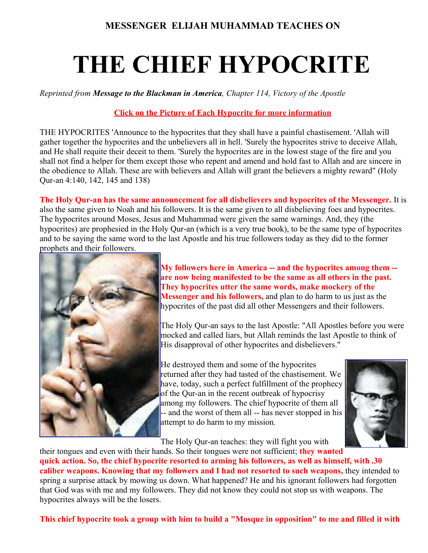## **THE CHIEF HYPOCRITE**

*Reprinted from Message to the Blackman in America, Chapter 114, Victory of the Apostle*

## **Click on the Picture of Each Hypocrite for more information**

THE HYPOCRITES 'Announce to the hypocrites that they shall have a painful chastisement. 'Allah will gather together the hypocrites and the unbelievers all in hell. 'Surely the hypocrites strive to deceive Allah, and He shall requite their deceit to them. 'Surely the hypocrites are in the lowest stage of the fire and you shall not find a helper for them except those who repent and amend and hold fast to Allah and are sincere in the obedience to Allah. These are with believers and Allah will grant the believers a mighty reward" (Holy Qur-an 4:140, 142, 145 and 138)

**The Holy Qur-an has the same announcement for all disbelievers and hypocrites of the Messenger.** It is also the same given to Noah and his followers. It is the same given to all disbelieving foes and hypocrites. The hypocrites around Moses, Jesus and Muhammad were given the same warnings. And, they (the hypocrites) are prophesied in the Holy Qur-an (which is a very true book), to be the same type of hypocrites and to be saying the same word to the last Apostle and his true followers today as they did to the former prophets and their followers.



**[M](file:///C:/Users/Zakiyah/Desktop/Muhammad%20Speaks%20Website/Farrakhanadmitshypocrisy.html)y followers here in America -- and the hypocrites among them - are now being manifested to be the same as all others in the past. They hypocrites utter the same words, make mockery of the Messenger and his followers,** and plan to do harm to us just as the hypocrites of the past did all other Messengers and their followers.

The Holy Qur-an says to the last Apostle: "All Apostles before you were mocked and called liars, but Allah reminds the last Apostle to think of His disapproval of other hypocrites and disbelievers."

He destroyed them and some of the hypocrites returned after they had tasted of the chastisement. We have, today, such a perfect fulfillment of the prophecy of the Qur-an in the recent outbreak of hypocrisy among my followers. The chief hypocrite of them all -- and the worst of them all -- has never stopped in his attempt to do harm to my mission.



The Holy Qur-an teaches: they will fight you with

their tongues and even with their hands. So their tongues were not sufficient; **they wanted quick action. So, the chief hypocrite resorted to arming his followers, as well as himself, with .30 caliber weapons. Knowing that my followers and I had not resorted to such weapons,** they intended to spring a surprise attack by mowing us down. What happened? He and his ignorant followers had forgotten that God was with me and my followers. They did not know they could not stop us with weapons. The hypocrites always will be the losers.

**This chief hypocrite took a group with him to build a "Mosque in opposition" to me and filled it with**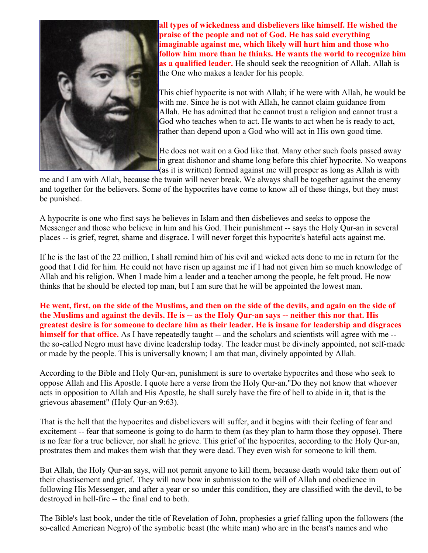

**[a](file:///C:/Users/Zakiyah/Desktop/Muhammad%20Speaks%20Website/WarithD.html)ll types of wickedness and disbelievers like himself. He wished the praise of the people and not of God. He has said everything imaginable against me, which likely will hurt him and those who follow him more than he thinks. He wants the world to recognize him as a qualified leader.** He should seek the recognition of Allah. Allah is the One who makes a leader for his people.

This chief hypocrite is not with Allah; if he were with Allah, he would be with me. Since he is not with Allah, he cannot claim guidance from Allah. He has admitted that he cannot trust a religion and cannot trust a God who teaches when to act. He wants to act when he is ready to act, rather than depend upon a God who will act in His own good time.

He does not wait on a God like that. Many other such fools passed away in great dishonor and shame long before this chief hypocrite. No weapons (as it is written) formed against me will prosper as long as Allah is with

me and I am with Allah, because the twain will never break. We always shall be together against the enemy and together for the believers. Some of the hypocrites have come to know all of these things, but they must be punished.

A hypocrite is one who first says he believes in Islam and then disbelieves and seeks to oppose the Messenger and those who believe in him and his God. Their punishment -- says the Holy Qur-an in several places -- is grief, regret, shame and disgrace. I will never forget this hypocrite's hateful acts against me.

If he is the last of the 22 million, I shall remind him of his evil and wicked acts done to me in return for the good that I did for him. He could not have risen up against me if I had not given him so much knowledge of Allah and his religion. When I made him a leader and a teacher among the people, he felt proud. He now thinks that he should be elected top man, but I am sure that he will be appointed the lowest man.

**He went, first, on the side of the Muslims, and then on the side of the devils, and again on the side of the Muslims and against the devils. He is -- as the Holy Qur-an says -- neither this nor that. His greatest desire is for someone to declare him as their leader. He is insane for leadership and disgraces himself for that office.** As I have repeatedly taught -- and the scholars and scientists will agree with me -the so-called Negro must have divine leadership today. The leader must be divinely appointed, not self-made or made by the people. This is universally known; I am that man, divinely appointed by Allah.

According to the Bible and Holy Qur-an, punishment is sure to overtake hypocrites and those who seek to oppose Allah and His Apostle. I quote here a verse from the Holy Qur-an."Do they not know that whoever acts in opposition to Allah and His Apostle, he shall surely have the fire of hell to abide in it, that is the grievous abasement" (Holy Qur-an 9:63).

That is the hell that the hypocrites and disbelievers will suffer, and it begins with their feeling of fear and excitement -- fear that someone is going to do harm to them (as they plan to harm those they oppose). There is no fear for a true believer, nor shall he grieve. This grief of the hypocrites, according to the Holy Qur-an, prostrates them and makes them wish that they were dead. They even wish for someone to kill them.

But Allah, the Holy Qur-an says, will not permit anyone to kill them, because death would take them out of their chastisement and grief. They will now bow in submission to the will of Allah and obedience in following His Messenger, and after a year or so under this condition, they are classified with the devil, to be destroyed in hell-fire -- the final end to both.

The Bible's last book, under the title of Revelation of John, prophesies a grief falling upon the followers (the so-called American Negro) of the symbolic beast (the white man) who are in the beast's names and who